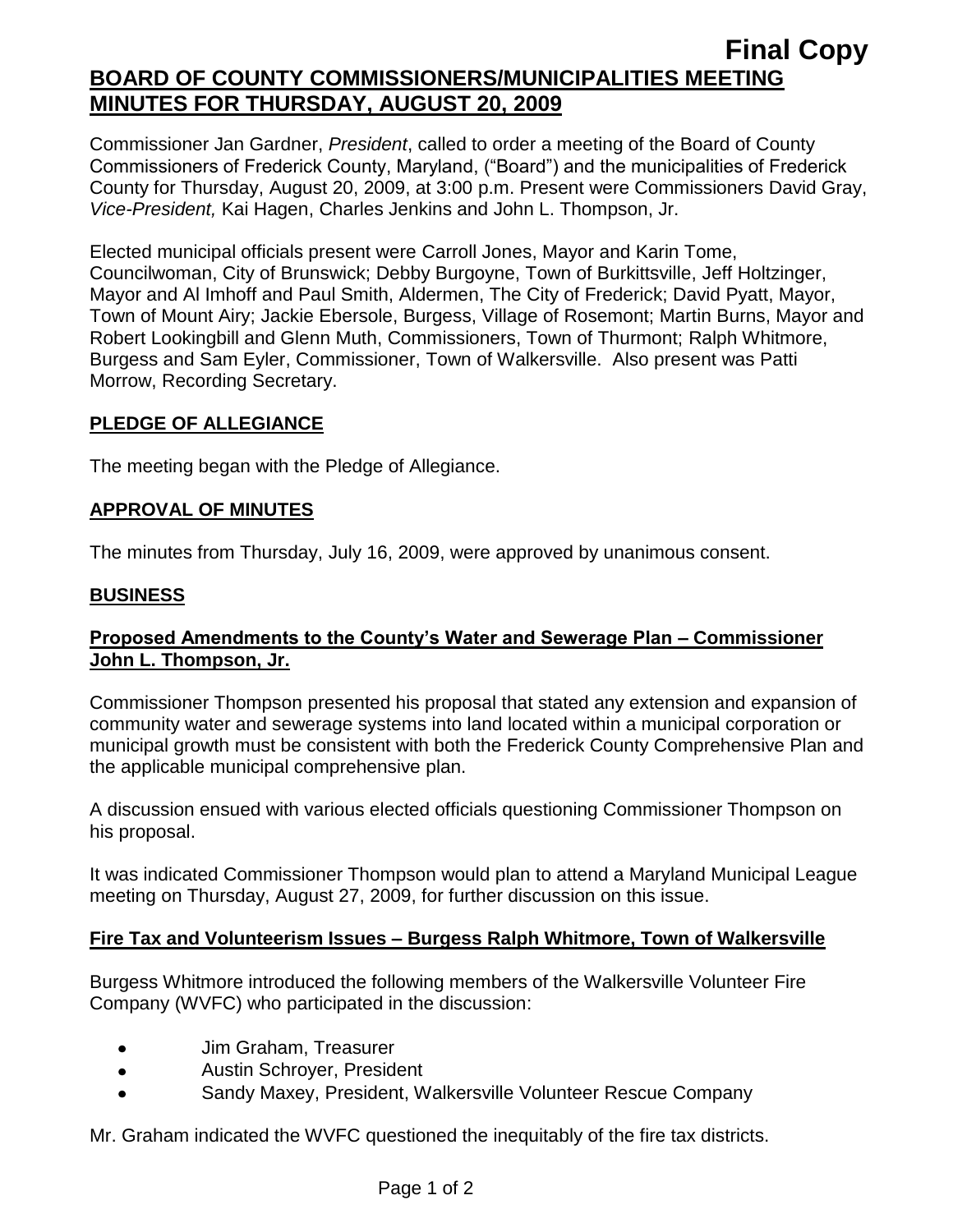# **Final Copy BOARD OF COUNTY COMMISSIONERS/MUNICIPALITIES MEETING MINUTES FOR THURSDAY, AUGUST 20, 2009**

Commissioner Jan Gardner, *President*, called to order a meeting of the Board of County Commissioners of Frederick County, Maryland, ("Board") and the municipalities of Frederick County for Thursday, August 20, 2009, at 3:00 p.m. Present were Commissioners David Gray, *Vice-President,* Kai Hagen, Charles Jenkins and John L. Thompson, Jr.

Elected municipal officials present were Carroll Jones, Mayor and Karin Tome, Councilwoman, City of Brunswick; Debby Burgoyne, Town of Burkittsville, Jeff Holtzinger, Mayor and Al Imhoff and Paul Smith, Aldermen, The City of Frederick; David Pyatt, Mayor, Town of Mount Airy; Jackie Ebersole, Burgess, Village of Rosemont; Martin Burns, Mayor and Robert Lookingbill and Glenn Muth, Commissioners, Town of Thurmont; Ralph Whitmore, Burgess and Sam Eyler, Commissioner, Town of Walkersville. Also present was Patti Morrow, Recording Secretary.

## **PLEDGE OF ALLEGIANCE**

The meeting began with the Pledge of Allegiance.

## **APPROVAL OF MINUTES**

The minutes from Thursday, July 16, 2009, were approved by unanimous consent.

## **BUSINESS**

## **Proposed Amendments to the County's Water and Sewerage Plan – Commissioner John L. Thompson, Jr.**

Commissioner Thompson presented his proposal that stated any extension and expansion of community water and sewerage systems into land located within a municipal corporation or municipal growth must be consistent with both the Frederick County Comprehensive Plan and the applicable municipal comprehensive plan.

A discussion ensued with various elected officials questioning Commissioner Thompson on his proposal.

It was indicated Commissioner Thompson would plan to attend a Maryland Municipal League meeting on Thursday, August 27, 2009, for further discussion on this issue.

## **Fire Tax and Volunteerism Issues – Burgess Ralph Whitmore, Town of Walkersville**

Burgess Whitmore introduced the following members of the Walkersville Volunteer Fire Company (WVFC) who participated in the discussion:

- Jim Graham, Treasurer  $\bullet$
- Austin Schroyer, President  $\bullet$
- Sandy Maxey, President, Walkersville Volunteer Rescue Company

Mr. Graham indicated the WVFC questioned the inequitably of the fire tax districts.